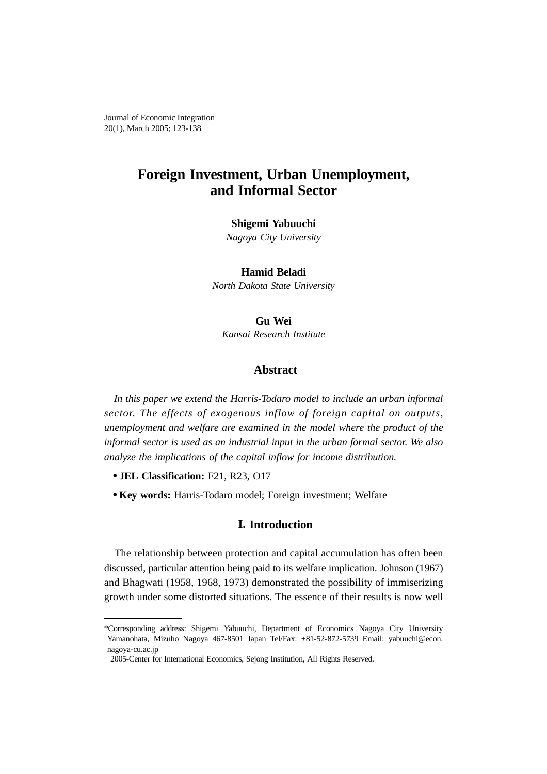Journal of Economic Integration 20(1), March 2005; 123-138

# **Foreign Investment, Urban Unemployment, and Informal Sector**

#### **Shigemi Yabuuchi**

*Nagoya City University*

**Hamid Beladi**

*North Dakota State University*

**Gu Wei** *Kansai Research Institute*

## **Abstract**

*In this paper we extend the Harris-Todaro model to include an urban informal sector. The effects of exogenous inflow of foreign capital on outputs, unemployment and welfare are examined in the model where the product of the informal sector is used as an industrial input in the urban formal sector. We also analyze the implications of the capital inflow for income distribution.*

- **JEL Classification:** F21, R23, O17
- **Key words:** Harris-Todaro model; Foreign investment; Welfare

## **I. Introduction**

The relationship between protection and capital accumulation has often been discussed, particular attention being paid to its welfare implication. Johnson (1967) and Bhagwati (1958, 1968, 1973) demonstrated the possibility of immiserizing growth under some distorted situations. The essence of their results is now well

<sup>\*</sup>Corresponding address: Shigemi Yabuuchi, Department of Economics Nagoya City University Yamanohata, Mizuho Nagoya 467-8501 Japan Tel/Fax: +81-52-872-5739 Email: yabuuchi@econ. nagoya-cu.ac.jp

<sup>2005-</sup>Center for International Economics, Sejong Institution, All Rights Reserved.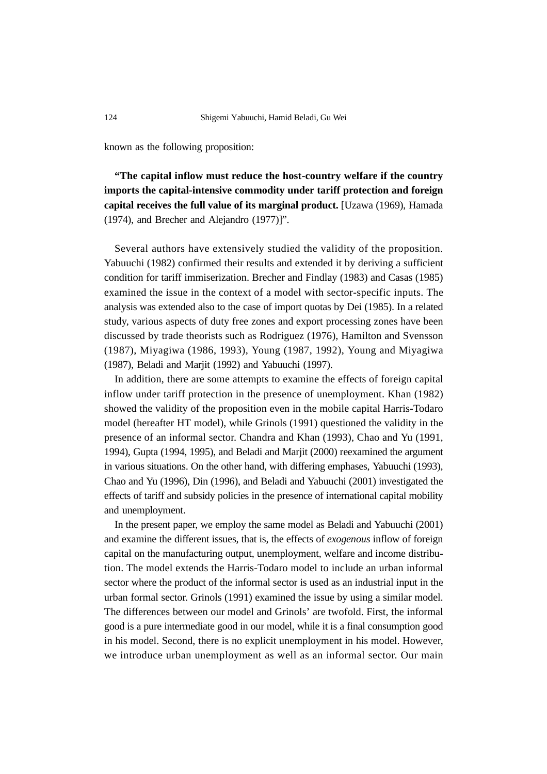known as the following proposition:

**"The capital inflow must reduce the host-country welfare if the country imports the capital-intensive commodity under tariff protection and foreign capital receives the full value of its marginal product.** [Uzawa (1969), Hamada (1974), and Brecher and Alejandro (1977)]".

Several authors have extensively studied the validity of the proposition. Yabuuchi (1982) confirmed their results and extended it by deriving a sufficient condition for tariff immiserization. Brecher and Findlay (1983) and Casas (1985) examined the issue in the context of a model with sector-specific inputs. The analysis was extended also to the case of import quotas by Dei (1985). In a related study, various aspects of duty free zones and export processing zones have been discussed by trade theorists such as Rodriguez (1976), Hamilton and Svensson (1987), Miyagiwa (1986, 1993), Young (1987, 1992), Young and Miyagiwa (1987), Beladi and Marjit (1992) and Yabuuchi (1997).

In addition, there are some attempts to examine the effects of foreign capital inflow under tariff protection in the presence of unemployment. Khan (1982) showed the validity of the proposition even in the mobile capital Harris-Todaro model (hereafter HT model), while Grinols (1991) questioned the validity in the presence of an informal sector. Chandra and Khan (1993), Chao and Yu (1991, 1994), Gupta (1994, 1995), and Beladi and Marjit (2000) reexamined the argument in various situations. On the other hand, with differing emphases, Yabuuchi (1993), Chao and Yu (1996), Din (1996), and Beladi and Yabuuchi (2001) investigated the effects of tariff and subsidy policies in the presence of international capital mobility and unemployment.

In the present paper, we employ the same model as Beladi and Yabuuchi (2001) and examine the different issues, that is, the effects of *exogenous* inflow of foreign capital on the manufacturing output, unemployment, welfare and income distribution. The model extends the Harris-Todaro model to include an urban informal sector where the product of the informal sector is used as an industrial input in the urban formal sector. Grinols (1991) examined the issue by using a similar model. The differences between our model and Grinols' are twofold. First, the informal good is a pure intermediate good in our model, while it is a final consumption good in his model. Second, there is no explicit unemployment in his model. However, we introduce urban unemployment as well as an informal sector. Our main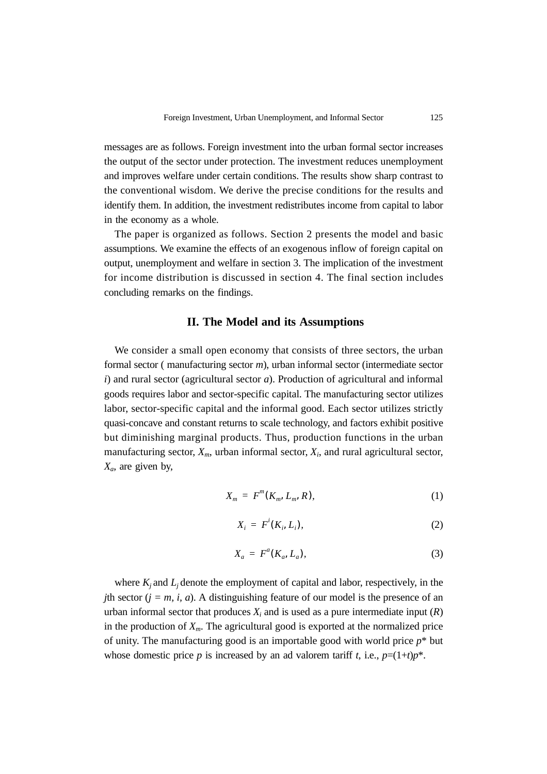messages are as follows. Foreign investment into the urban formal sector increases the output of the sector under protection. The investment reduces unemployment and improves welfare under certain conditions. The results show sharp contrast to the conventional wisdom. We derive the precise conditions for the results and identify them. In addition, the investment redistributes income from capital to labor in the economy as a whole.

The paper is organized as follows. Section 2 presents the model and basic assumptions. We examine the effects of an exogenous inflow of foreign capital on output, unemployment and welfare in section 3. The implication of the investment for income distribution is discussed in section 4. The final section includes concluding remarks on the findings.

#### **II. The Model and its Assumptions**

We consider a small open economy that consists of three sectors, the urban formal sector ( manufacturing sector *m*), urban informal sector (intermediate sector *i*) and rural sector (agricultural sector *a*). Production of agricultural and informal goods requires labor and sector-specific capital. The manufacturing sector utilizes labor, sector-specific capital and the informal good. Each sector utilizes strictly quasi-concave and constant returns to scale technology, and factors exhibit positive but diminishing marginal products. Thus, production functions in the urban manufacturing sector,  $X_m$ , urban informal sector,  $X_i$ , and rural agricultural sector, *Xa*, are given by,

$$
X_m = F^m(K_m, L_m, R), \qquad (1)
$$

$$
X_i = F^i(K_i, L_i), \tag{2}
$$

$$
X_a = F^a(K_a, L_a), \tag{3}
$$

where  $K_i$  and  $L_i$  denote the employment of capital and labor, respectively, in the *j*th sector  $(j = m, i, a)$ . A distinguishing feature of our model is the presence of an urban informal sector that produces  $X_i$  and is used as a pure intermediate input  $(R)$ in the production of  $X_m$ . The agricultural good is exported at the normalized price of unity. The manufacturing good is an importable good with world price *p*\* but whose domestic price *p* is increased by an ad valorem tariff *t*, i.e.,  $p=(1+t)p^*$ .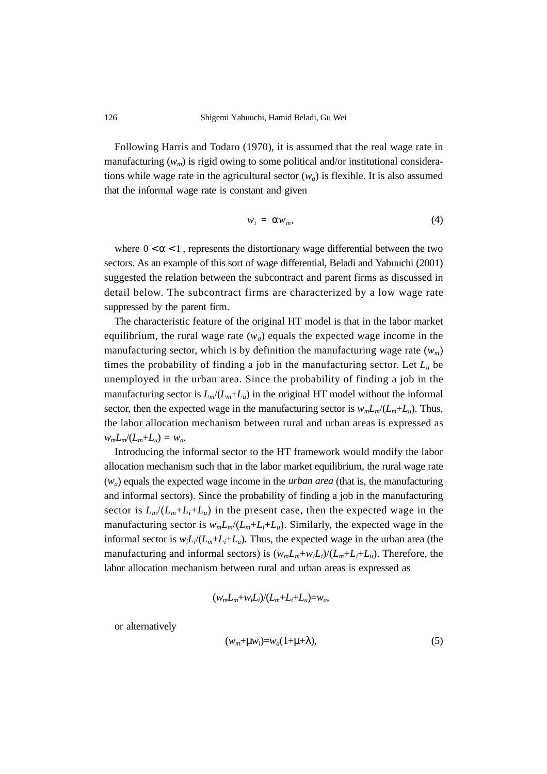Following Harris and Todaro (1970), it is assumed that the real wage rate in manufacturing  $(w_m)$  is rigid owing to some political and/or institutional considerations while wage rate in the agricultural sector  $(w_a)$  is flexible. It is also assumed that the informal wage rate is constant and given

$$
w_i = \alpha w_m, \tag{4}
$$

where  $0 < \alpha < 1$ , represents the distortionary wage differential between the two sectors. As an example of this sort of wage differential, Beladi and Yabuuchi (2001) suggested the relation between the subcontract and parent firms as discussed in detail below. The subcontract firms are characterized by a low wage rate suppressed by the parent firm.

The characteristic feature of the original HT model is that in the labor market equilibrium, the rural wage rate  $(w_a)$  equals the expected wage income in the manufacturing sector, which is by definition the manufacturing wage rate  $(w_m)$ times the probability of finding a job in the manufacturing sector. Let  $L_u$  be unemployed in the urban area. Since the probability of finding a job in the manufacturing sector is  $L_m/(L_m + L_u)$  in the original HT model without the informal sector, then the expected wage in the manufacturing sector is  $w_m L_m/(L_m + L_u)$ . Thus, the labor allocation mechanism between rural and urban areas is expressed as  $w_m L_m / (L_m + L_u) = w_a$ .

Introducing the informal sector to the HT framework would modify the labor allocation mechanism such that in the labor market equilibrium, the rural wage rate (*wa*) equals the expected wage income in the *urban area* (that is, the manufacturing and informal sectors). Since the probability of finding a job in the manufacturing sector is  $L_m/(L_m+L_i+L_u)$  in the present case, then the expected wage in the manufacturing sector is  $w_m L_m/(L_m + L_i + L_u)$ . Similarly, the expected wage in the informal sector is  $w_i L_i/(L_m + L_i + L_u)$ . Thus, the expected wage in the urban area (the manufacturing and informal sectors) is  $(w_m L_m + w_i L_i)/(L_m + L_i + L_u)$ . Therefore, the labor allocation mechanism between rural and urban areas is expressed as

$$
(w_m L_m + w_i L_i)/(L_m + L_i + L_u) = w_a,
$$

or alternatively

$$
(w_m + \mu w_i) = w_a(1 + \mu + \lambda), \tag{5}
$$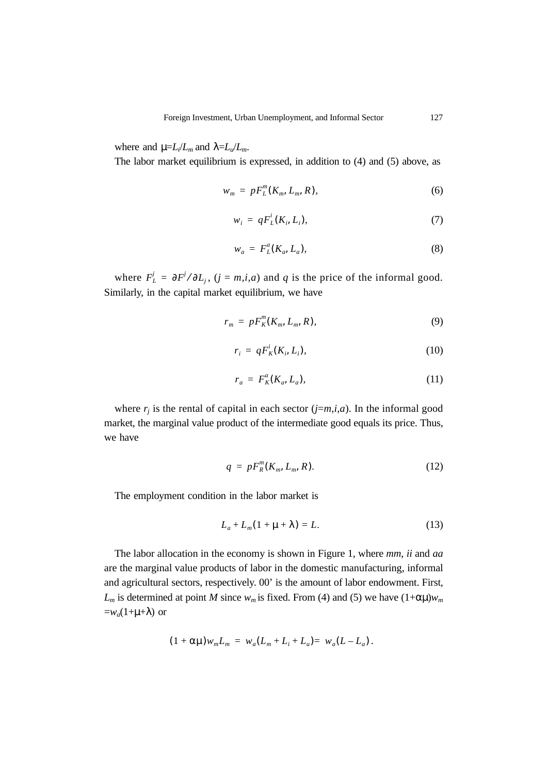where and  $\mu = L_i/L_m$  and  $\lambda = L_u/L_m$ .

The labor market equilibrium is expressed, in addition to (4) and (5) above, as

$$
w_m = pF_L^n(K_m, L_m, R), \qquad (6)
$$

$$
w_i = qF_L^i(K_i, L_i),\tag{7}
$$

$$
w_a = F_L^a(K_a, L_a), \tag{8}
$$

where  $F'_L = \frac{\partial F'}{\partial L_j}$ ,  $(j = m, i, a)$  and *q* is the price of the informal good. Similarly, in the capital market equilibrium, we have

$$
r_m = pF_K^m(K_m, L_m, R), \qquad (9)
$$

$$
r_i = qF_K^i(K_i, L_i), \tag{10}
$$

$$
r_a = F_K^a(K_a, L_a), \tag{11}
$$

where  $r_j$  is the rental of capital in each sector  $(j=m,i,a)$ . In the informal good market, the marginal value product of the intermediate good equals its price. Thus, we have

$$
q = pF_R^m(K_m, L_m, R). \tag{12}
$$

The employment condition in the labor market is

$$
L_a + L_m(1 + \mu + \lambda) = L. \tag{13}
$$

The labor allocation in the economy is shown in Figure 1, where *mm*, *ii* and *aa* are the marginal value products of labor in the domestic manufacturing, informal and agricultural sectors, respectively. 00' is the amount of labor endowment. First,  $L_m$  is determined at point *M* since  $w_m$  is fixed. From (4) and (5) we have  $(1+\alpha\mu)w_m$  $=w_a(1+\mu+\lambda)$  or

$$
(1 + \alpha \mu) w_m L_m = w_a (L_m + L_i + L_u) = w_a (L - L_a).
$$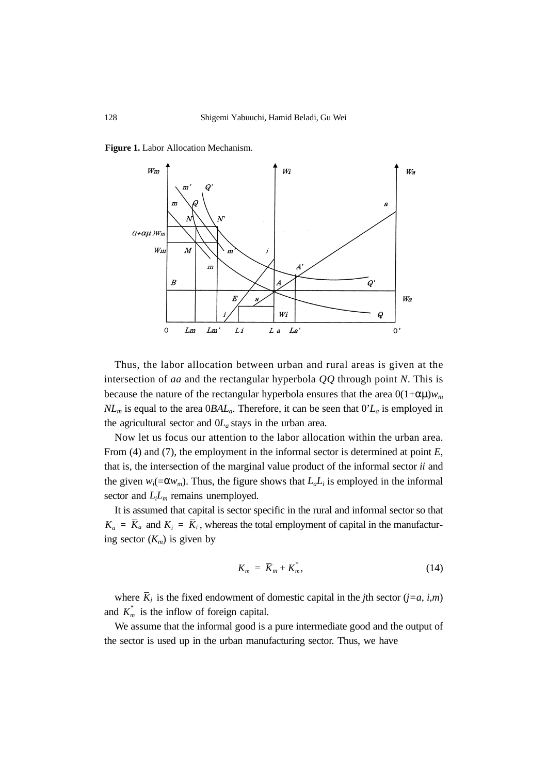**Figure 1.** Labor Allocation Mechanism.



Thus, the labor allocation between urban and rural areas is given at the intersection of *aa* and the rectangular hyperbola *QQ* through point *N*. This is because the nature of the rectangular hyperbola ensures that the area  $0(1+\alpha\mu)w_m$  $NL<sub>m</sub>$  is equal to the area  $0BAL<sub>a</sub>$ . Therefore, it can be seen that  $0'L<sub>a</sub>$  is employed in the agricultural sector and  $0L_a$  stays in the urban area.

Now let us focus our attention to the labor allocation within the urban area. From (4) and (7), the employment in the informal sector is determined at point *E*, that is, the intersection of the marginal value product of the informal sector *ii* and the given  $w_i(=\alpha w_m)$ . Thus, the figure shows that  $L_a L_i$  is employed in the informal sector and  $L<sub>i</sub>L<sub>m</sub>$  remains unemployed.

It is assumed that capital is sector specific in the rural and informal sector so that  $K_a = \overline{K}_a$  and  $K_i = \overline{K}_i$ , whereas the total employment of capital in the manufacturing sector  $(K_m)$  is given by

$$
K_m = \overline{K}_m + K_m^*,\tag{14}
$$

where  $\overline{K}_j$  is the fixed endowment of domestic capital in the *j*th sector (*j*=*a*, *i*,*m*) and  $K_m^*$  is the inflow of foreign capital.

We assume that the informal good is a pure intermediate good and the output of the sector is used up in the urban manufacturing sector. Thus, we have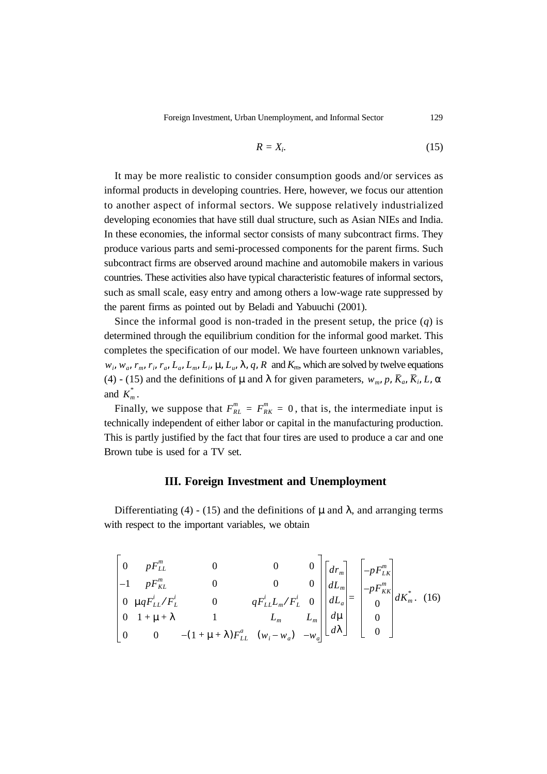Foreign Investment, Urban Unemployment, and Informal Sector 129

$$
R = X_i. \tag{15}
$$

It may be more realistic to consider consumption goods and/or services as informal products in developing countries. Here, however, we focus our attention to another aspect of informal sectors. We suppose relatively industrialized developing economies that have still dual structure, such as Asian NIEs and India. In these economies, the informal sector consists of many subcontract firms. They produce various parts and semi-processed components for the parent firms. Such subcontract firms are observed around machine and automobile makers in various countries. These activities also have typical characteristic features of informal sectors, such as small scale, easy entry and among others a low-wage rate suppressed by the parent firms as pointed out by Beladi and Yabuuchi (2001).

Since the informal good is non-traded in the present setup, the price (*q*) is determined through the equilibrium condition for the informal good market. This completes the specification of our model. We have fourteen unknown variables,  $w_i$ ,  $w_a$ ,  $r_m$ ,  $r_i$ ,  $r_a$ ,  $L_a$ ,  $L_m$ ,  $L_i$ ,  $\mu$ ,  $L_u$ ,  $\lambda$ ,  $q$ ,  $R$  and  $K_m$ , which are solved by twelve equations (4) - (15) and the definitions of  $\mu$  and  $\lambda$  for given parameters,  $w_m$ ,  $p$ ,  $\overline{K}_a$ ,  $\overline{K}_i$ ,  $L$ ,  $\alpha$ and  $K_m^*$ .

Finally, we suppose that  $F_{RL}^m = F_{RK}^m = 0$ , that is, the intermediate input is technically independent of either labor or capital in the manufacturing production. This is partly justified by the fact that four tires are used to produce a car and one Brown tube is used for a TV set.

#### **III. Foreign Investment and Unemployment**

Differentiating (4) - (15) and the definitions of  $\mu$  and  $\lambda$ , and arranging terms with respect to the important variables, we obtain

$$
\begin{bmatrix}\n0 & pF_{LL}^m & 0 & 0 & 0 \\
-1 & pF_{KL}^m & 0 & 0 & 0 \\
0 & \mu qF_{LL}^i / F_L^i & 0 & qF_{LL}^i L_m / F_L^i & 0 \\
0 & 1 + \mu + \lambda & 1 & L_m & L_m \\
0 & 0 & -(1 + \mu + \lambda)F_{LL}^a & (\nu_i - \nu_a) & -\nu_a\n\end{bmatrix}\n\begin{bmatrix}\ndr_m \\
dL_m \\
dL_a \\
d\mu \\
d\lambda\n\end{bmatrix} = \begin{bmatrix}\n-pF_{LK}^m \\
-pF_{KK}^m \\
0 \\
0 \\
0\n\end{bmatrix} dK_m^*,
$$
\n(16)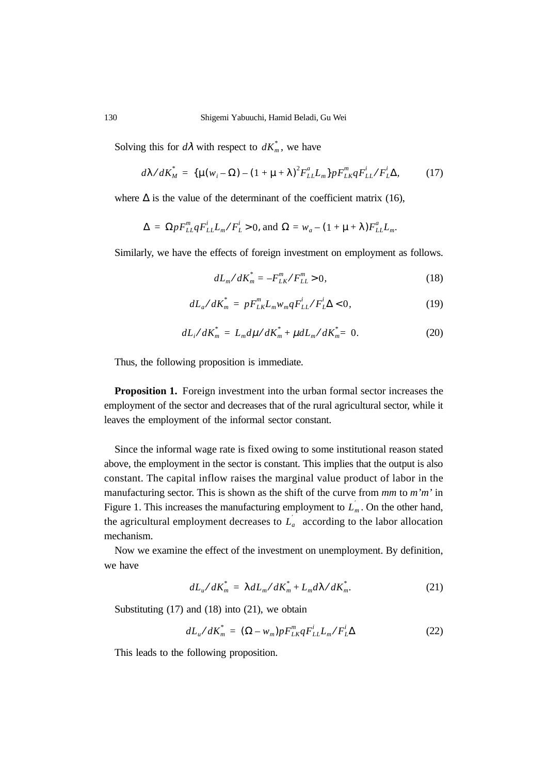Solving this for  $d\lambda$  with respect to  $dK_m^*$ , we have

$$
d\lambda/dK_M^* = \{ \mu(w_i - \Omega) - (1 + \mu + \lambda)^2 F_{LL}^a L_m \} p F_{LR}^m q F_{LL}^i / F_L^i \Delta, \tag{17}
$$

where  $\Delta$  is the value of the determinant of the coefficient matrix (16),

$$
\Delta = \Omega p F_{LL}^m q F_{LL}^i L_m / F_L^i > 0, \text{ and } \Omega = w_a - (1 + \mu + \lambda) F_{LL}^a L_m.
$$

Similarly, we have the effects of foreign investment on employment as follows.

$$
dL_m/dK_m^* = -F_{LK}^m/F_{LL}^m > 0,
$$
\n(18)

$$
dL_a/dK_m^* = pF_{LK}^m L_m w_m qF_{LL}^i / F_L^i \Delta < 0,
$$
 (19)

$$
dL_i/dK_m^* = L_m d\mu/dK_m^* + \mu dL_m/dK_m^* = 0.
$$
 (20)

Thus, the following proposition is immediate.

**Proposition 1.** Foreign investment into the urban formal sector increases the employment of the sector and decreases that of the rural agricultural sector, while it leaves the employment of the informal sector constant.

Since the informal wage rate is fixed owing to some institutional reason stated above, the employment in the sector is constant. This implies that the output is also constant. The capital inflow raises the marginal value product of labor in the manufacturing sector. This is shown as the shift of the curve from *mm* to *m'm'* in Figure 1. This increases the manufacturing employment to  $L_m$ . On the other hand, the agricultural employment decreases to  $L_{a}^{'}$  according to the labor allocation mechanism.

Now we examine the effect of the investment on unemployment. By definition, we have

$$
dL_u/dK_m^* = \lambda dL_m/dK_m^* + L_m d\lambda/dK_m^*.
$$
 (21)

Substituting  $(17)$  and  $(18)$  into  $(21)$ , we obtain

$$
dL_u/dK_m^* = (\Omega - w_m)pF_{LK}^m qF_{LL}^i L_m/F_L^i \Delta
$$
 (22)

This leads to the following proposition.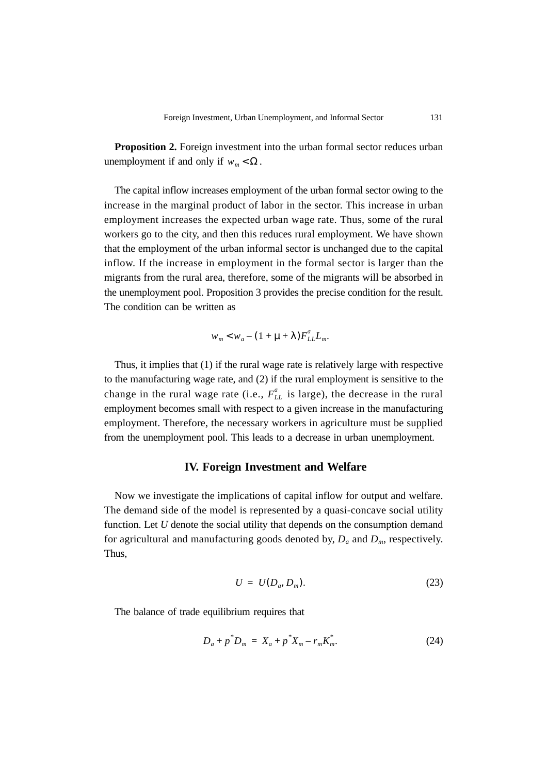**Proposition 2.** Foreign investment into the urban formal sector reduces urban unemployment if and only if  $w_m < Ω$ .

The capital inflow increases employment of the urban formal sector owing to the increase in the marginal product of labor in the sector. This increase in urban employment increases the expected urban wage rate. Thus, some of the rural workers go to the city, and then this reduces rural employment. We have shown that the employment of the urban informal sector is unchanged due to the capital inflow. If the increase in employment in the formal sector is larger than the migrants from the rural area, therefore, some of the migrants will be absorbed in the unemployment pool. Proposition 3 provides the precise condition for the result. The condition can be written as

$$
w_m < w_a - (1 + \mu + \lambda) F_{LL}^a L_m.
$$

Thus, it implies that (1) if the rural wage rate is relatively large with respective to the manufacturing wage rate, and (2) if the rural employment is sensitive to the change in the rural wage rate (i.e.,  $F_{LL}^a$  is large), the decrease in the rural employment becomes small with respect to a given increase in the manufacturing employment. Therefore, the necessary workers in agriculture must be supplied from the unemployment pool. This leads to a decrease in urban unemployment.

### **IV. Foreign Investment and Welfare**

Now we investigate the implications of capital inflow for output and welfare. The demand side of the model is represented by a quasi-concave social utility function. Let *U* denote the social utility that depends on the consumption demand for agricultural and manufacturing goods denoted by, *Da* and *Dm*, respectively. Thus,

$$
U = U(D_a, D_m). \tag{23}
$$

The balance of trade equilibrium requires that

$$
D_a + p^* D_m = X_a + p^* X_m - r_m K_m^*.
$$
 (24)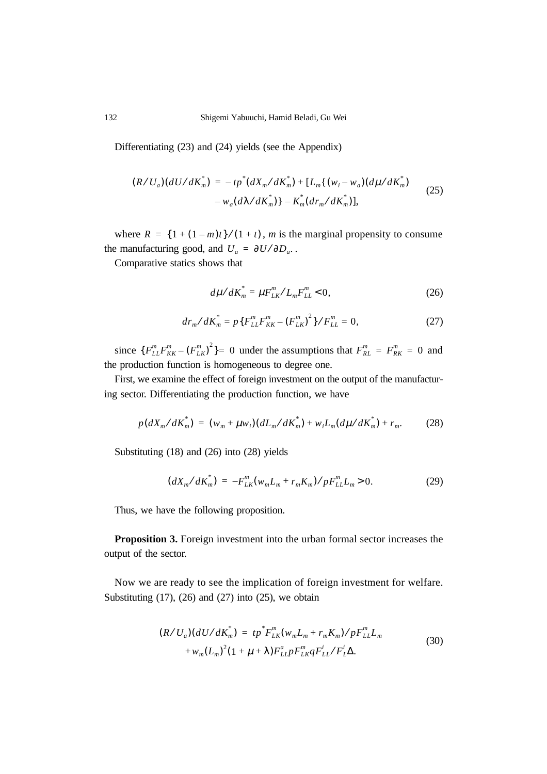Differentiating (23) and (24) yields (see the Appendix)

$$
(R/U_a)(dU/dK_m^*) = -tp^*(dX_m/dK_m^*) + [L_m\{(w_i - w_a)(d\mu/dK_m^*) - w_a(d\lambda/dK_m^*)\} - K_m^*(dr_m/dK_m^*)],
$$
\n(25)

where  $R = \{1 + (1 - m)t\} / (1 + t)$ , *m* is the marginal propensity to consume the manufacturing good, and  $U_a = \partial U / \partial D_a$ .

Comparative statics shows that

$$
d\mu/dK_m^* = \mu F_{LK}^m / L_m F_{LL}^m < 0, \qquad (26)
$$

$$
dr_m/dK_m^* = p\{F_{LL}^m F_{KK}^m - (F_{LK}^m)^2\}/F_{LL}^m = 0,
$$
 (27)

since  ${F_{LL}^mF_{KK}^m - (F_{LK}^m)^2} = 0$  under the assumptions that  $F_{RL}^m = F_{RK}^m = 0$  and the production function is homogeneous to degree one.

First, we examine the effect of foreign investment on the output of the manufacturing sector. Differentiating the production function, we have

$$
p(dX_{m}/dK_{m}^{*}) = (w_{m} + \mu w_{i})(dL_{m}/dK_{m}^{*}) + w_{i}L_{m}(d\mu/dK_{m}^{*}) + r_{m}. \qquad (28)
$$

Substituting (18) and (26) into (28) yields

$$
(dX_m/dK_m^*) = -F_{LK}^m(w_m L_m + r_m K_m) / pF_{LL}^m L_m > 0.
$$
 (29)

Thus, we have the following proposition.

**Proposition 3.** Foreign investment into the urban formal sector increases the output of the sector.

Now we are ready to see the implication of foreign investment for welfare. Substituting  $(17)$ ,  $(26)$  and  $(27)$  into  $(25)$ , we obtain

$$
(R/U_a)(dU/dK_m^*) = tp^*F_{LK}^m(w_mL_m + r_mK_m)/pF_{LL}^mL_m + w_m(L_m)^2(1 + \mu + \lambda)F_{LL}^a pF_{LK}^m qF_{LL}^i/F_{L\Delta}^i.
$$
\n(30)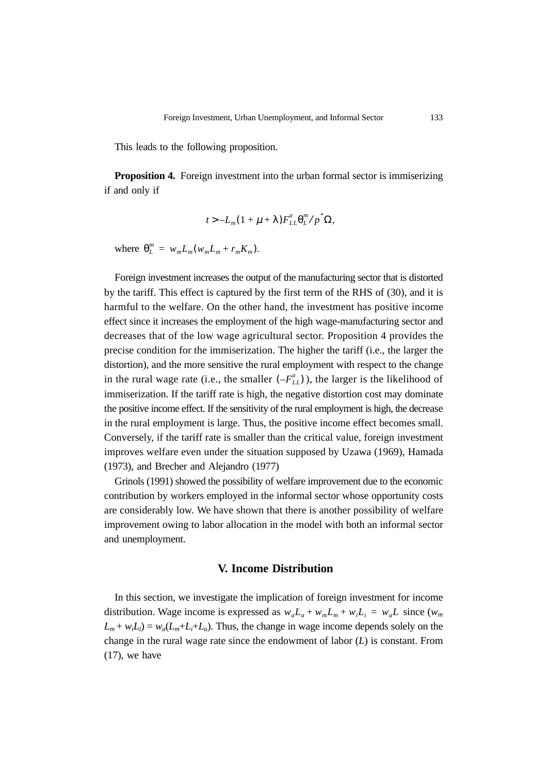This leads to the following proposition.

**Proposition 4.** Foreign investment into the urban formal sector is immiserizing if and only if

$$
t > -L_m(1 + \mu + \lambda)F_{LL}^a\theta_L^m/p^*\Omega,
$$

where  $\theta_L^m = w_m L_m (w_m L_m + r_m K_m)$ .

Foreign investment increases the output of the manufacturing sector that is distorted by the tariff. This effect is captured by the first term of the RHS of (30), and it is harmful to the welfare. On the other hand, the investment has positive income effect since it increases the employment of the high wage-manufacturing sector and decreases that of the low wage agricultural sector. Proposition 4 provides the precise condition for the immiserization. The higher the tariff (i.e., the larger the distortion), and the more sensitive the rural employment with respect to the change in the rural wage rate (i.e., the smaller  $(-F_{LL}^a)$ ), the larger is the likelihood of immiserization. If the tariff rate is high, the negative distortion cost may dominate the positive income effect. If the sensitivity of the rural employment is high, the decrease in the rural employment is large. Thus, the positive income effect becomes small. Conversely, if the tariff rate is smaller than the critical value, foreign investment improves welfare even under the situation supposed by Uzawa (1969), Hamada (1973), and Brecher and Alejandro (1977)

Grinols (1991) showed the possibility of welfare improvement due to the economic contribution by workers employed in the informal sector whose opportunity costs are considerably low. We have shown that there is another possibility of welfare improvement owing to labor allocation in the model with both an informal sector and unemployment.

#### **V. Income Distribution**

In this section, we investigate the implication of foreign investment for income distribution. Wage income is expressed as  $w_a L_a + w_m L_m + w_i L_i = w_a L$  since  $(w_m)$  $L_m + w_i L_i = w_a (L_m + L_i + L_u)$ . Thus, the change in wage income depends solely on the change in the rural wage rate since the endowment of labor (*L*) is constant. From  $(17)$ , we have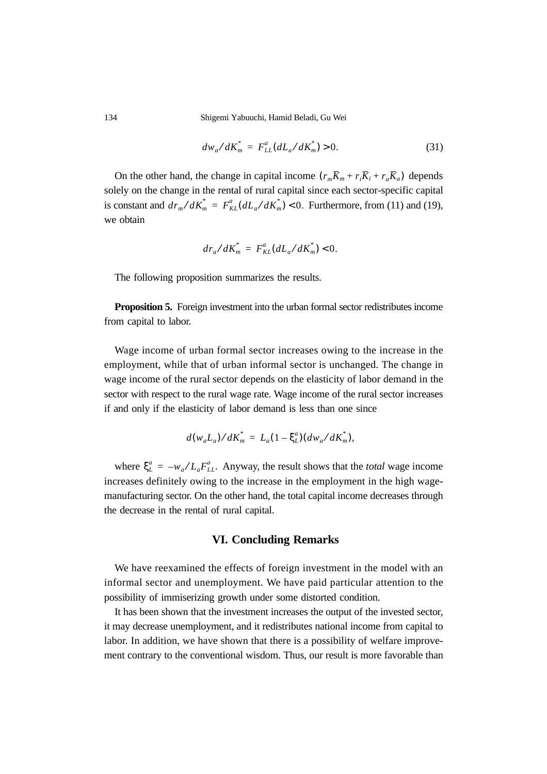134 Shigemi Yabuuchi, Hamid Beladi, Gu Wei

$$
dw_a/dK_m^* = F_{LL}^a(dL_a/dK_m^*) > 0.
$$
 (31)

On the other hand, the change in capital income  $(r_m \overline{K}_m + r_i \overline{K}_i + r_a \overline{K}_a)$  depends solely on the change in the rental of rural capital since each sector-specific capital is constant and  $dr_m/dK_m^* = F_{KL}^a(dL_a/dK_m^*)$  < 0. Furthermore, from (11) and (19), we obtain

$$
dr_{a}/dK_{m}^{*} = F_{KL}^{a}(dL_{a}/dK_{m}^{*}) < 0.
$$

The following proposition summarizes the results.

**Proposition 5.** Foreign investment into the urban formal sector redistributes income from capital to labor.

Wage income of urban formal sector increases owing to the increase in the employment, while that of urban informal sector is unchanged. The change in wage income of the rural sector depends on the elasticity of labor demand in the sector with respect to the rural wage rate. Wage income of the rural sector increases if and only if the elasticity of labor demand is less than one since

$$
d(w_a L_a) / dK_m^* = L_a (1 - \xi_L^a) (dw_a / dK_m^*),
$$

where  $\xi_L^a = -w_a/L_a F_{LL}^a$ . Anyway, the result shows that the *total* wage income increases definitely owing to the increase in the employment in the high wagemanufacturing sector. On the other hand, the total capital income decreases through the decrease in the rental of rural capital.

## **VI. Concluding Remarks**

We have reexamined the effects of foreign investment in the model with an informal sector and unemployment. We have paid particular attention to the possibility of immiserizing growth under some distorted condition.

It has been shown that the investment increases the output of the invested sector, it may decrease unemployment, and it redistributes national income from capital to labor. In addition, we have shown that there is a possibility of welfare improvement contrary to the conventional wisdom. Thus, our result is more favorable than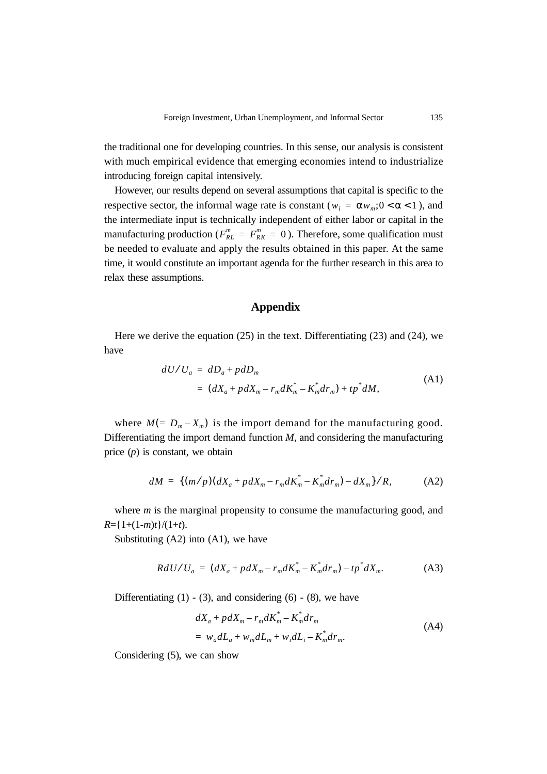the traditional one for developing countries. In this sense, our analysis is consistent with much empirical evidence that emerging economies intend to industrialize introducing foreign capital intensively.

However, our results depend on several assumptions that capital is specific to the respective sector, the informal wage rate is constant ( $w_i = \alpha w_m$ ;  $0 < \alpha < 1$ ), and the intermediate input is technically independent of either labor or capital in the manufacturing production ( $F_{RL}^m = F_{RK}^m = 0$ ). Therefore, some qualification must be needed to evaluate and apply the results obtained in this paper. At the same time, it would constitute an important agenda for the further research in this area to relax these assumptions.

## **Appendix**

Here we derive the equation (25) in the text. Differentiating (23) and (24), we have

$$
dU/U_a = dD_a + pdD_m
$$
  
= 
$$
(dX_a + pdX_m - r_m dK_m^* - K_m^* dr_m) + tp^* dM,
$$
 (A1)

where  $M = D_m - X_m$  is the import demand for the manufacturing good. Differentiating the import demand function *M*, and considering the manufacturing price (*p*) is constant, we obtain

$$
dM = \{ (m/p)(dX_a + pdX_m - r_m dK_m^* - K_m^* dr_m) - dX_m \}/R, \tag{A2}
$$

where *m* is the marginal propensity to consume the manufacturing good, and  $R = \frac{1 + (1 - m)t}{(1 + t)}$ .

Substituting  $(A2)$  into  $(A1)$ , we have

$$
R dU / U_a = (dX_a + pdX_m - r_m dK_m^* - K_m^* dr_m) - tp^* dX_m.
$$
 (A3)

Differentiating  $(1)$  -  $(3)$ , and considering  $(6)$  -  $(8)$ , we have

$$
dX_{a} + pdX_{m} - r_{m}dK_{m}^{*} - K_{m}^{*}dr_{m}
$$
  
=  $w_{a}dL_{a} + w_{m}dL_{m} + w_{i}dL_{i} - K_{m}^{*}dr_{m}$ . (A4)

Considering (5), we can show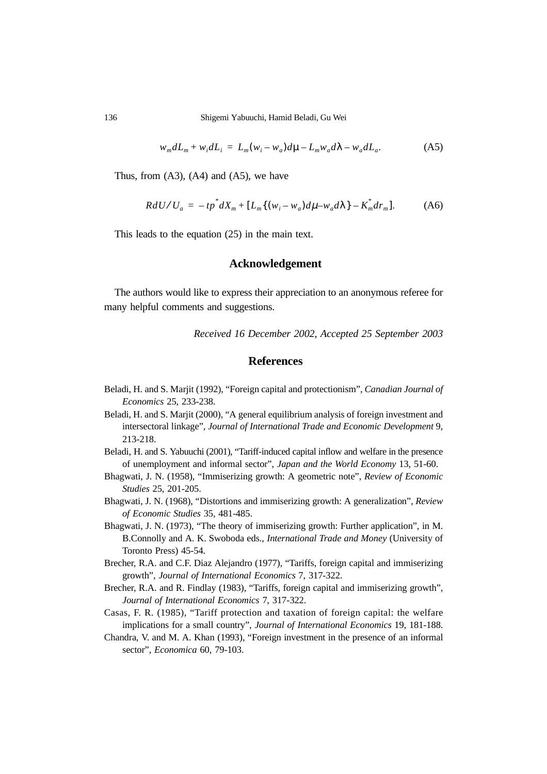136 Shigemi Yabuuchi, Hamid Beladi, Gu Wei

$$
w_m dL_m + w_i dL_i = L_m(w_i - w_a) d\mu - L_m w_a d\lambda - w_a dL_a.
$$
 (A5)

Thus, from  $(A3)$ ,  $(A4)$  and  $(A5)$ , we have

$$
R dU / U_a = -tp^* dX_m + [L_m \{ (w_i - w_a) d\mu - w_a d\lambda \} - K_m^* d r_m].
$$
 (A6)

This leads to the equation (25) in the main text.

#### **Acknowledgement**

The authors would like to express their appreciation to an anonymous referee for many helpful comments and suggestions.

*Received 16 December 2002, Accepted 25 September 2003*

#### **References**

- Beladi, H. and S. Marjit (1992), "Foreign capital and protectionism", *Canadian Journal of Economics* 25, 233-238.
- Beladi, H. and S. Marjit (2000), "A general equilibrium analysis of foreign investment and intersectoral linkage", *Journal of International Trade and Economic Development* 9, 213-218.
- Beladi, H. and S. Yabuuchi (2001), "Tariff-induced capital inflow and welfare in the presence of unemployment and informal sector", *Japan and the World Economy* 13, 51-60.
- Bhagwati, J. N. (1958), "Immiserizing growth: A geometric note", *Review of Economic Studies* 25, 201-205.
- Bhagwati, J. N. (1968), "Distortions and immiserizing growth: A generalization", *Review of Economic Studies* 35*,* 481-485.
- Bhagwati, J. N. (1973), "The theory of immiserizing growth: Further application", in M. B.Connolly and A. K. Swoboda eds., *International Trade and Money* (University of Toronto Press) 45-54.
- Brecher, R.A. and C.F. Diaz Alejandro (1977), "Tariffs, foreign capital and immiserizing growth", *Journal of International Economics* 7, 317-322.
- Brecher, R.A. and R. Findlay (1983), "Tariffs, foreign capital and immiserizing growth", *Journal of International Economics* 7, 317-322.
- Casas, F. R. (1985), "Tariff protection and taxation of foreign capital: the welfare implications for a small country", *Journal of International Economics* 19, 181-188.
- Chandra, V. and M. A. Khan (1993), "Foreign investment in the presence of an informal sector", *Economica* 60, 79-103.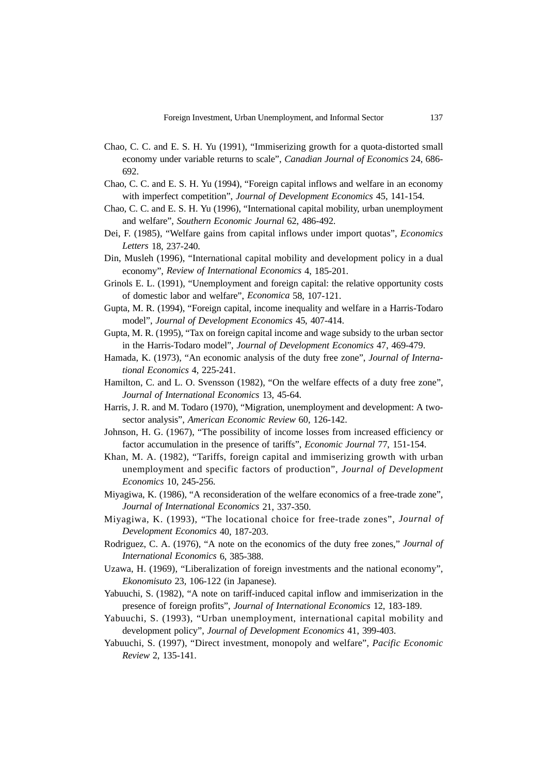- Chao, C. C. and E. S. H. Yu (1991), "Immiserizing growth for a quota-distorted small economy under variable returns to scale", *Canadian Journal of Economics* 24, 686- 692.
- Chao, C. C. and E. S. H. Yu (1994), "Foreign capital inflows and welfare in an economy with imperfect competition", *Journal of Development Economics* 45, 141-154.
- Chao, C. C. and E. S. H. Yu (1996), "International capital mobility, urban unemployment and welfare", *Southern Economic Journal* 62, 486-492.
- Dei, F. (1985), "Welfare gains from capital inflows under import quotas", *Economics Letters* 18, 237-240.
- Din, Musleh (1996), "International capital mobility and development policy in a dual economy", *Review of International Economics* 4, 185-201.
- Grinols E. L. (1991), "Unemployment and foreign capital: the relative opportunity costs of domestic labor and welfare", *Economica* 58, 107-121.
- Gupta, M. R. (1994), "Foreign capital, income inequality and welfare in a Harris-Todaro model", *Journal of Development Economics* 45, 407-414.
- Gupta, M. R. (1995), "Tax on foreign capital income and wage subsidy to the urban sector in the Harris-Todaro model", *Journal of Development Economics* 47, 469-479.
- Hamada, K. (1973), "An economic analysis of the duty free zone", *Journal of International Economics* 4, 225-241.
- Hamilton, C. and L. O. Svensson (1982), "On the welfare effects of a duty free zone", *Journal of International Economics* 13, 45-64.
- Harris, J. R. and M. Todaro (1970), "Migration, unemployment and development: A twosector analysis", *American Economic Review* 60, 126-142.
- Johnson, H. G. (1967), "The possibility of income losses from increased efficiency or factor accumulation in the presence of tariffs", *Economic Journal* 77, 151-154.
- Khan, M. A. (1982), "Tariffs, foreign capital and immiserizing growth with urban unemployment and specific factors of production", *Journal of Development Economics* 10, 245-256.
- Miyagiwa, K. (1986), "A reconsideration of the welfare economics of a free-trade zone", *Journal of International Economics* 21, 337-350.
- Miyagiwa, K. (1993), "The locational choice for free-trade zones", *Journal of Development Economics* 40, 187-203.
- Rodriguez, C. A. (1976), "A note on the economics of the duty free zones," *Journal of International Economics* 6, 385-388.
- Uzawa, H. (1969), "Liberalization of foreign investments and the national economy", *Ekonomisuto* 23, 106-122 (in Japanese).
- Yabuuchi, S. (1982), "A note on tariff-induced capital inflow and immiserization in the presence of foreign profits", *Journal of International Economics* 12, 183-189.
- Yabuuchi, S. (1993), "Urban unemployment, international capital mobility and development policy", *Journal of Development Economics* 41, 399-403.
- Yabuuchi, S. (1997), "Direct investment, monopoly and welfare", *Pacific Economic Review* 2, 135-141.